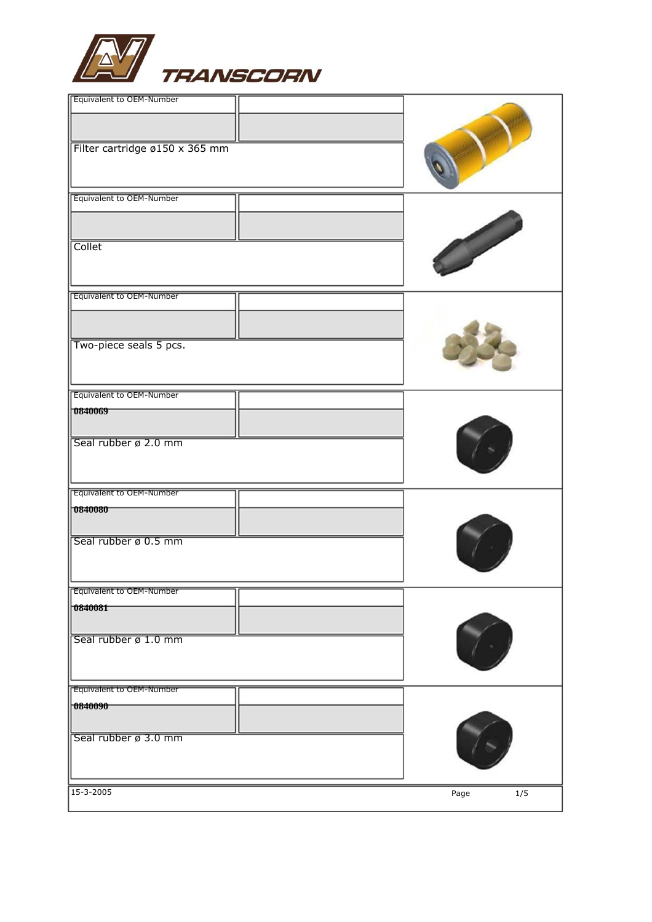

| Collet<br>Equivalent to OEM-Number<br>Two-piece seals 5 pcs.<br>Equivalent to OEM-Number<br>0840069<br>Seal rubber ø 2.0 mm<br>Equivalent to OEM-Number<br>70840080<br>Seal rubber ø 0.5 mm<br><b>Equivalent to OEM-Number</b><br> 0840081<br>Seal rubber ø 1.0 mm<br><b>Equivalent to OEM-Number</b><br> 0840090 | Equivalent to OEM-Number<br>Filter cartridge ø150 x 365 mm |  |
|-------------------------------------------------------------------------------------------------------------------------------------------------------------------------------------------------------------------------------------------------------------------------------------------------------------------|------------------------------------------------------------|--|
|                                                                                                                                                                                                                                                                                                                   | Equivalent to OEM-Number                                   |  |
|                                                                                                                                                                                                                                                                                                                   |                                                            |  |
|                                                                                                                                                                                                                                                                                                                   |                                                            |  |
|                                                                                                                                                                                                                                                                                                                   |                                                            |  |
|                                                                                                                                                                                                                                                                                                                   |                                                            |  |
| Seal rubber ø 3.0 mm<br>15-3-2005<br>$1/5$<br>Page                                                                                                                                                                                                                                                                |                                                            |  |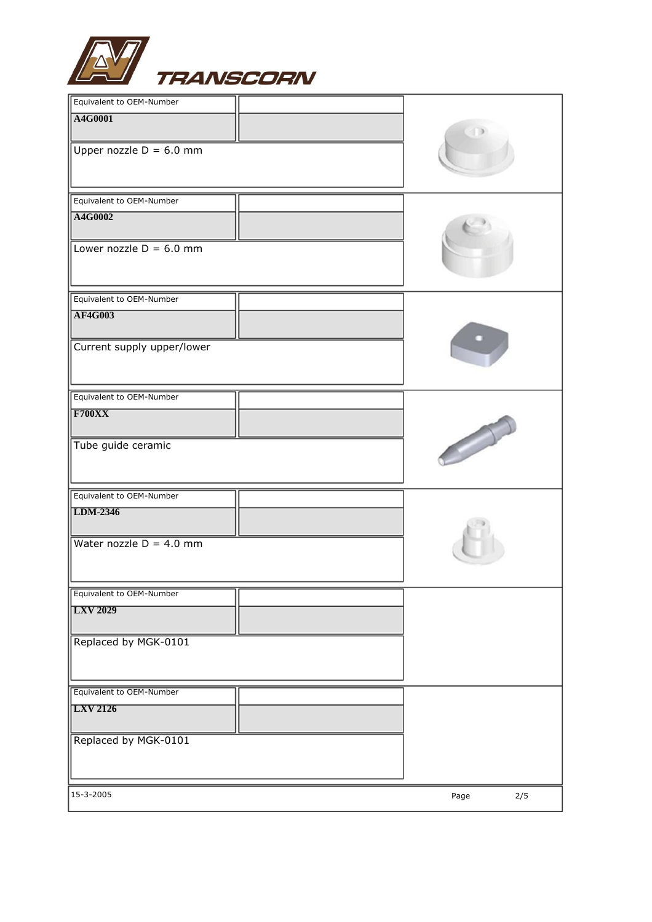

| Equivalent to OEM-Number   |             |
|----------------------------|-------------|
| A4G0001                    |             |
| Upper nozzle $D = 6.0$ mm  |             |
| Equivalent to OEM-Number   |             |
| A4G0002                    |             |
| Lower nozzle $D = 6.0$ mm  |             |
| Equivalent to OEM-Number   |             |
| <b>AF4G003</b>             |             |
| Current supply upper/lower |             |
| Equivalent to OEM-Number   |             |
| F700XX                     |             |
| Tube guide ceramic         |             |
| Equivalent to OEM-Number   |             |
| LDM-2346                   |             |
| Water nozzle $D = 4.0$ mm  |             |
| Equivalent to OEM-Number   |             |
| <b>LXV 2029</b>            |             |
| Replaced by MGK-0101       |             |
| Equivalent to OEM-Number   |             |
| <b>LXV 2126</b>            |             |
| Replaced by MGK-0101       |             |
| 15-3-2005                  | 2/5<br>Page |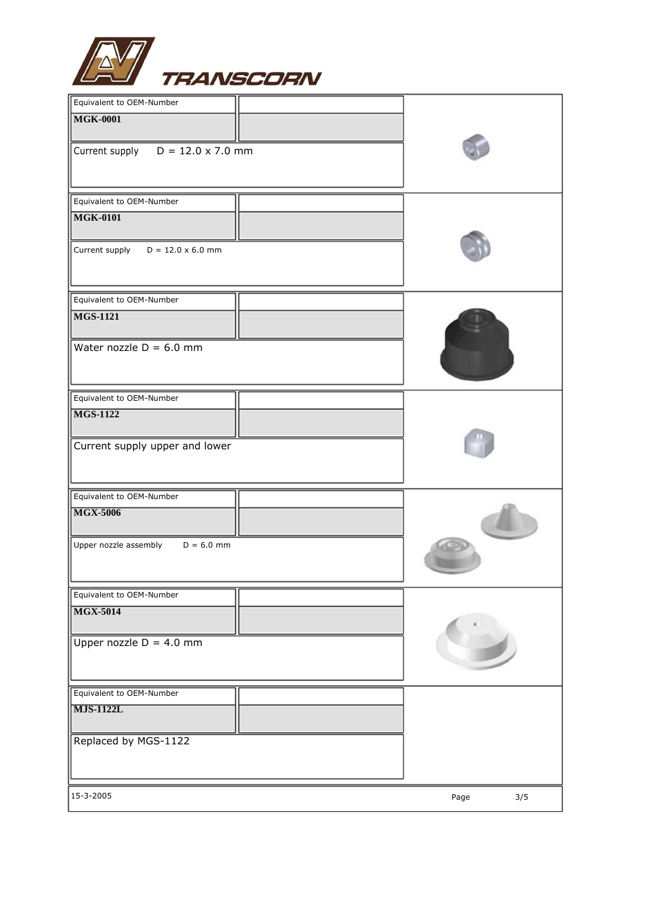

| Equivalent to OEM-Number                |             |
|-----------------------------------------|-------------|
| <b>MGK-0001</b>                         |             |
| Current supply $D = 12.0 \times 7.0$ mm |             |
| Equivalent to OEM-Number                |             |
| <b>MGK-0101</b>                         |             |
| Current supply $D = 12.0 \times 6.0$ mm |             |
| Equivalent to OEM-Number                |             |
| <b>MGS-1121</b>                         |             |
| Water nozzle $D = 6.0$ mm               |             |
| Equivalent to OEM-Number                |             |
| <b>MGS-1122</b>                         |             |
| Current supply upper and lower          |             |
| Equivalent to OEM-Number                |             |
| <b>MGX-5006</b>                         |             |
| Upper nozzle assembly<br>$D = 6.0$ mm   |             |
| Equivalent to OEM-Number                |             |
| <b>MGX-5014</b>                         |             |
| Upper nozzle $D = 4.0$ mm               |             |
| Equivalent to OEM-Number                |             |
| $\overline{\text{MJS-1122L}}$           |             |
| Replaced by MGS-1122                    |             |
| 15-3-2005                               | 3/5<br>Page |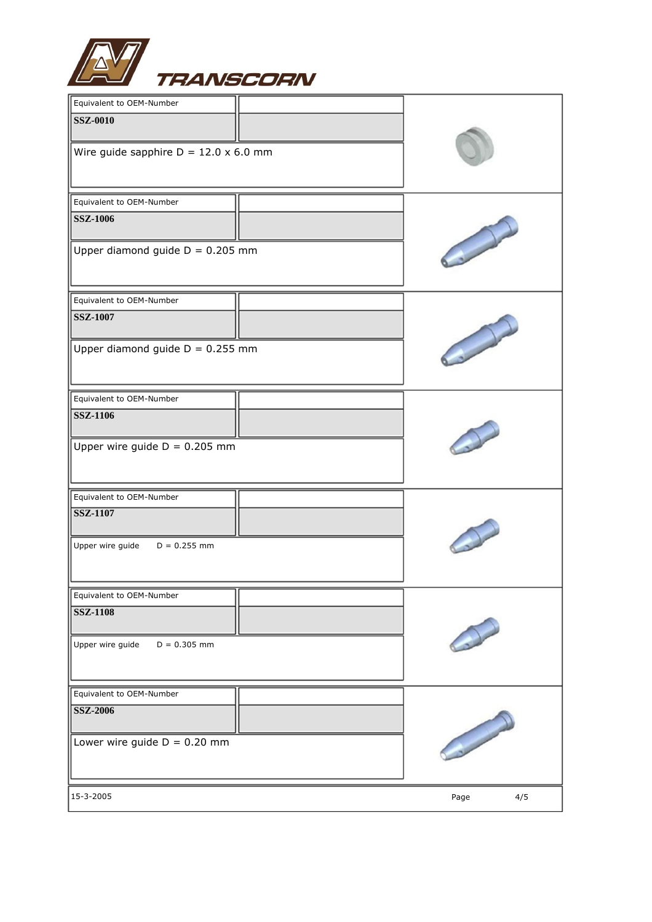

| Equivalent to OEM-Number                     |                                                                                                                                                                                                                                      |
|----------------------------------------------|--------------------------------------------------------------------------------------------------------------------------------------------------------------------------------------------------------------------------------------|
| <b>SSZ-0010</b>                              |                                                                                                                                                                                                                                      |
| Wire guide sapphire $D = 12.0 \times 6.0$ mm |                                                                                                                                                                                                                                      |
| Equivalent to OEM-Number                     |                                                                                                                                                                                                                                      |
| <b>SSZ-1006</b>                              |                                                                                                                                                                                                                                      |
| Upper diamond guide $D = 0.205$ mm           |                                                                                                                                                                                                                                      |
| Equivalent to OEM-Number                     |                                                                                                                                                                                                                                      |
| <b>SSZ-1007</b>                              |                                                                                                                                                                                                                                      |
| Upper diamond guide $D = 0.255$ mm           |                                                                                                                                                                                                                                      |
| Equivalent to OEM-Number                     |                                                                                                                                                                                                                                      |
| <b>SSZ-1106</b>                              |                                                                                                                                                                                                                                      |
| Upper wire guide $D = 0.205$ mm              |                                                                                                                                                                                                                                      |
| Equivalent to OEM-Number                     |                                                                                                                                                                                                                                      |
| <b>SSZ-1107</b>                              |                                                                                                                                                                                                                                      |
| Upper wire guide<br>$D = 0.255$ mm           |                                                                                                                                                                                                                                      |
| Equivalent to OEM-Number                     |                                                                                                                                                                                                                                      |
| <b>SSZ-1108</b>                              |                                                                                                                                                                                                                                      |
| Upper wire guide<br>$D = 0.305$ mm           |                                                                                                                                                                                                                                      |
| Equivalent to OEM-Number                     |                                                                                                                                                                                                                                      |
| SSZ-2006                                     |                                                                                                                                                                                                                                      |
| Lower wire guide $D = 0.20$ mm               | <b>Contract of the Contract of the Contract of the Contract of the Contract of the Contract of the Contract of the Contract of The Contract of The Contract of The Contract of The Contract of The Contract of The Contract of T</b> |
| 15-3-2005                                    | Page<br>4/5                                                                                                                                                                                                                          |